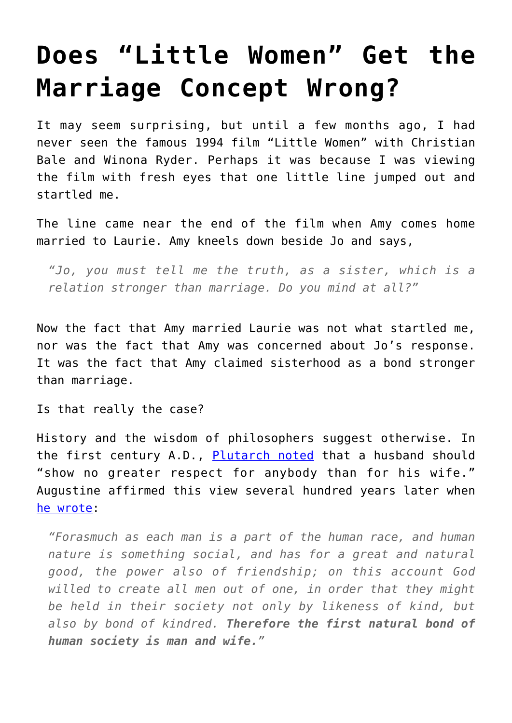## **[Does "Little Women" Get the](https://intellectualtakeout.org/2015/11/does-little-women-get-the-marriage-concept-wrong/) [Marriage Concept Wrong?](https://intellectualtakeout.org/2015/11/does-little-women-get-the-marriage-concept-wrong/)**

It may seem surprising, but until a few months ago, I had never seen the famous 1994 film "Little Women" with Christian Bale and Winona Ryder. Perhaps it was because I was viewing the film with fresh eyes that one little line jumped out and startled me.

The line came near the end of the film when Amy comes home married to Laurie. Amy kneels down beside Jo and says,

*"Jo, you must tell me the truth, as a sister, which is a relation stronger than marriage. Do you mind at all?"*

Now the fact that Amy married Laurie was not what startled me, nor was the fact that Amy was concerned about Jo's response. It was the fact that Amy claimed sisterhood as a bond stronger than marriage.

Is that really the case?

History and the wisdom of philosophers suggest otherwise. In the first century A.D., [Plutarch noted](http://penelope.uchicago.edu/Thayer/E/Roman/Texts/Plutarch/Moralia/Coniugalia_praecepta*.html) that a husband should "show no greater respect for anybody than for his wife." Augustine affirmed this view several hundred years later when [he wrote:](http://www.newadvent.org/fathers/1309.htm)

*"Forasmuch as each man is a part of the human race, and human nature is something social, and has for a great and natural good, the power also of friendship; on this account God willed to create all men out of one, in order that they might be held in their society not only by likeness of kind, but also by bond of kindred. Therefore the first natural bond of human society is man and wife."*